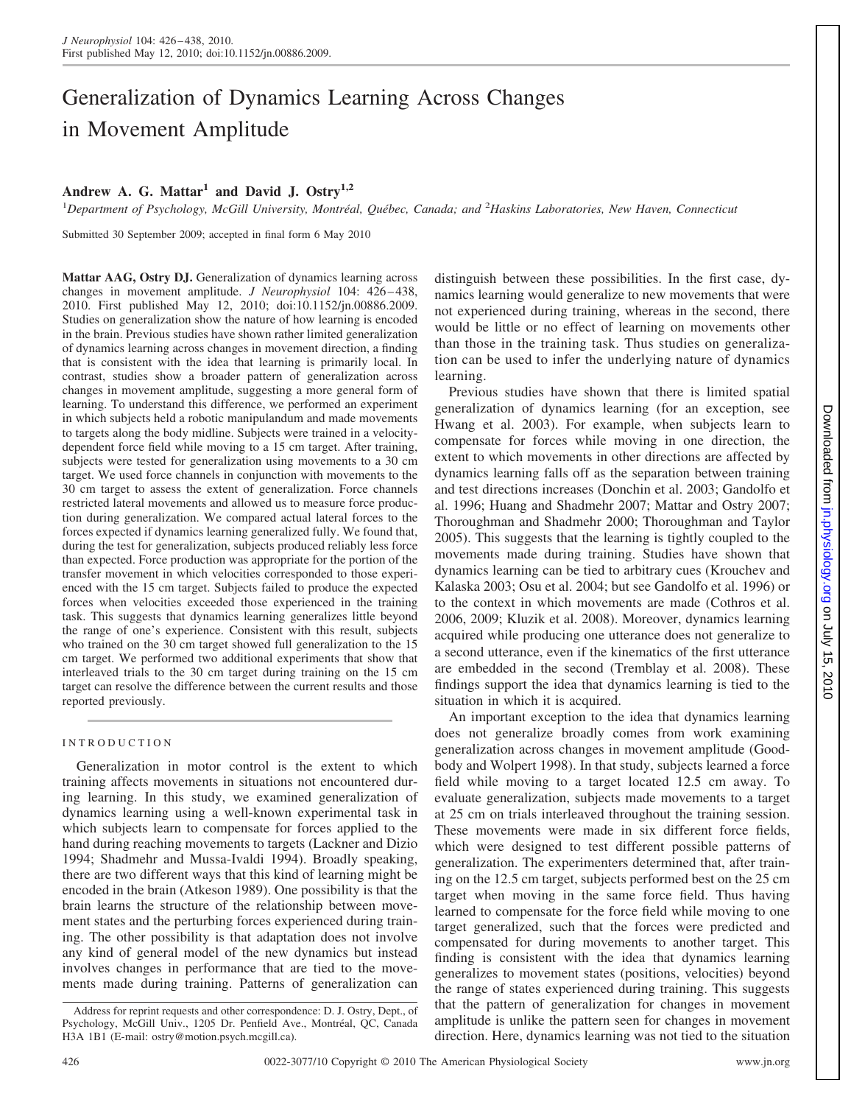# Generalization of Dynamics Learning Across Changes in Movement Amplitude

## **Andrew A. G. Mattar<sup>1</sup> and David J. Ostry1,2**

<sup>1</sup>Department of Psychology, McGill University, Montréal, Québec, Canada; and <sup>2</sup>Haskins Laboratories, New Haven, Connecticut

Submitted 30 September 2009; accepted in final form 6 May 2010

**Mattar AAG, Ostry DJ.** Generalization of dynamics learning across changes in movement amplitude. *J Neurophysiol* 104: 426-438, 2010. First published May 12, 2010; doi:10.1152/jn.00886.2009. Studies on generalization show the nature of how learning is encoded in the brain. Previous studies have shown rather limited generalization of dynamics learning across changes in movement direction, a finding that is consistent with the idea that learning is primarily local. In contrast, studies show a broader pattern of generalization across changes in movement amplitude, suggesting a more general form of learning. To understand this difference, we performed an experiment in which subjects held a robotic manipulandum and made movements to targets along the body midline. Subjects were trained in a velocitydependent force field while moving to a 15 cm target. After training, subjects were tested for generalization using movements to a 30 cm target. We used force channels in conjunction with movements to the 30 cm target to assess the extent of generalization. Force channels restricted lateral movements and allowed us to measure force production during generalization. We compared actual lateral forces to the forces expected if dynamics learning generalized fully. We found that, during the test for generalization, subjects produced reliably less force than expected. Force production was appropriate for the portion of the transfer movement in which velocities corresponded to those experienced with the 15 cm target. Subjects failed to produce the expected forces when velocities exceeded those experienced in the training task. This suggests that dynamics learning generalizes little beyond the range of one's experience. Consistent with this result, subjects who trained on the 30 cm target showed full generalization to the 15 cm target. We performed two additional experiments that show that interleaved trials to the 30 cm target during training on the 15 cm target can resolve the difference between the current results and those reported previously.

### INTRODUCTION

Generalization in motor control is the extent to which training affects movements in situations not encountered during learning. In this study, we examined generalization of dynamics learning using a well-known experimental task in which subjects learn to compensate for forces applied to the hand during reaching movements to targets (Lackner and Dizio 1994; Shadmehr and Mussa-Ivaldi 1994). Broadly speaking, there are two different ways that this kind of learning might be encoded in the brain (Atkeson 1989). One possibility is that the brain learns the structure of the relationship between movement states and the perturbing forces experienced during training. The other possibility is that adaptation does not involve any kind of general model of the new dynamics but instead involves changes in performance that are tied to the movements made during training. Patterns of generalization can distinguish between these possibilities. In the first case, dynamics learning would generalize to new movements that were not experienced during training, whereas in the second, there would be little or no effect of learning on movements other than those in the training task. Thus studies on generalization can be used to infer the underlying nature of dynamics learning.

Previous studies have shown that there is limited spatial generalization of dynamics learning (for an exception, see Hwang et al. 2003). For example, when subjects learn to compensate for forces while moving in one direction, the extent to which movements in other directions are affected by dynamics learning falls off as the separation between training and test directions increases (Donchin et al. 2003; Gandolfo et al. 1996; Huang and Shadmehr 2007; Mattar and Ostry 2007; Thoroughman and Shadmehr 2000; Thoroughman and Taylor 2005). This suggests that the learning is tightly coupled to the movements made during training. Studies have shown that dynamics learning can be tied to arbitrary cues (Krouchev and Kalaska 2003; Osu et al. 2004; but see Gandolfo et al. 1996) or to the context in which movements are made (Cothros et al. 2006, 2009; Kluzik et al. 2008). Moreover, dynamics learning acquired while producing one utterance does not generalize to a second utterance, even if the kinematics of the first utterance are embedded in the second (Tremblay et al. 2008). These findings support the idea that dynamics learning is tied to the situation in which it is acquired.

An important exception to the idea that dynamics learning does not generalize broadly comes from work examining generalization across changes in movement amplitude (Goodbody and Wolpert 1998). In that study, subjects learned a force field while moving to a target located 12.5 cm away. To evaluate generalization, subjects made movements to a target at 25 cm on trials interleaved throughout the training session. These movements were made in six different force fields, which were designed to test different possible patterns of generalization. The experimenters determined that, after training on the 12.5 cm target, subjects performed best on the 25 cm target when moving in the same force field. Thus having learned to compensate for the force field while moving to one target generalized, such that the forces were predicted and compensated for during movements to another target. This finding is consistent with the idea that dynamics learning generalizes to movement states (positions, velocities) beyond the range of states experienced during training. This suggests that the pattern of generalization for changes in movement amplitude is unlike the pattern seen for changes in movement direction. Here, dynamics learning was not tied to the situation

Address for reprint requests and other correspondence: D. J. Ostry, Dept., of Psychology, McGill Univ., 1205 Dr. Penfield Ave., Montréal, QC, Canada H3A 1B1 (E-mail: ostry@motion.psych.mcgill.ca).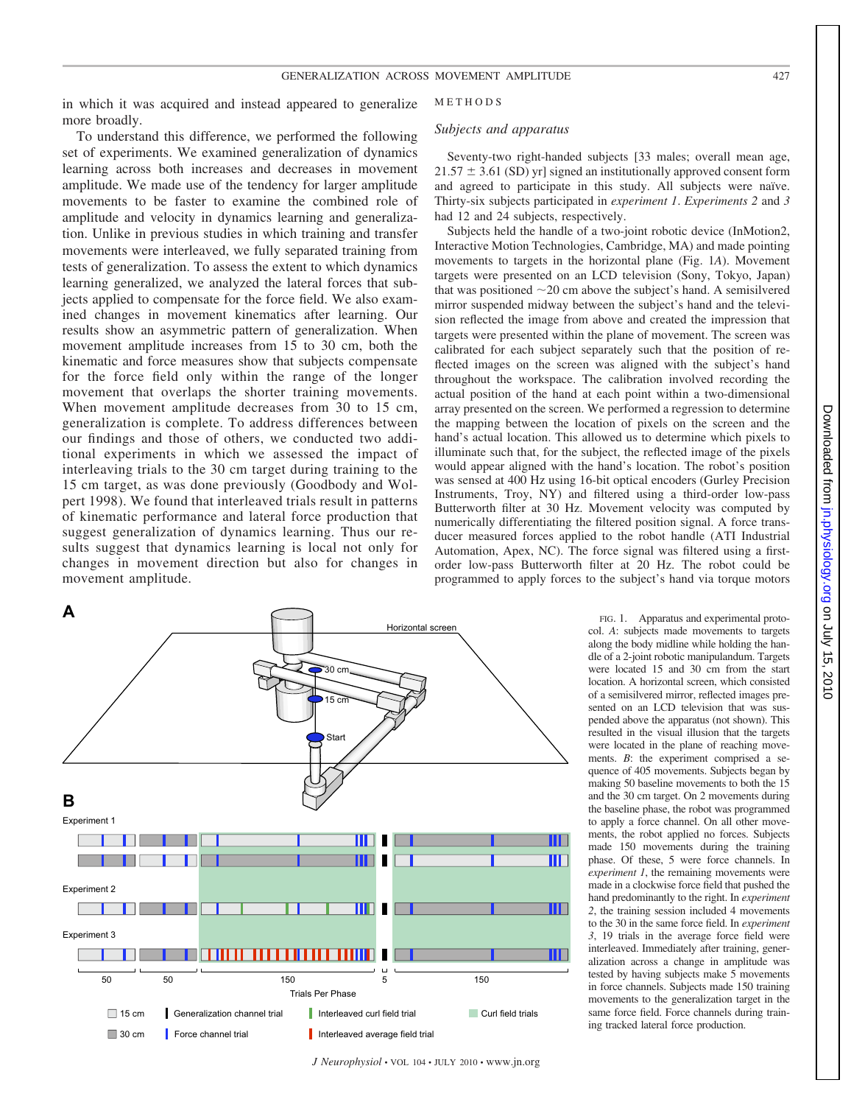in which it was acquired and instead appeared to generalize more broadly.

To understand this difference, we performed the following set of experiments. We examined generalization of dynamics learning across both increases and decreases in movement amplitude. We made use of the tendency for larger amplitude movements to be faster to examine the combined role of amplitude and velocity in dynamics learning and generalization. Unlike in previous studies in which training and transfer movements were interleaved, we fully separated training from tests of generalization. To assess the extent to which dynamics learning generalized, we analyzed the lateral forces that subjects applied to compensate for the force field. We also examined changes in movement kinematics after learning. Our results show an asymmetric pattern of generalization. When movement amplitude increases from 15 to 30 cm, both the kinematic and force measures show that subjects compensate for the force field only within the range of the longer movement that overlaps the shorter training movements. When movement amplitude decreases from 30 to 15 cm, generalization is complete. To address differences between our findings and those of others, we conducted two additional experiments in which we assessed the impact of interleaving trials to the 30 cm target during training to the 15 cm target, as was done previously (Goodbody and Wolpert 1998). We found that interleaved trials result in patterns of kinematic performance and lateral force production that suggest generalization of dynamics learning. Thus our results suggest that dynamics learning is local not only for changes in movement direction but also for changes in movement amplitude.



*J Neurophysiol* • VOL 104 • JULY 2010 • www.jn.org

METHODS

#### *Subjects and apparatus*

Seventy-two right-handed subjects [33 males; overall mean age,  $21.57 \pm 3.61$  (SD) yr] signed an institutionally approved consent form and agreed to participate in this study. All subjects were naïve. Thirty-six subjects participated in *experiment 1*. *Experiments 2* and *3* had 12 and 24 subjects, respectively.

Subjects held the handle of a two-joint robotic device (InMotion2, Interactive Motion Technologies, Cambridge, MA) and made pointing movements to targets in the horizontal plane (Fig. 1*A*). Movement targets were presented on an LCD television (Sony, Tokyo, Japan) that was positioned  $\sim$  20 cm above the subject's hand. A semisilvered mirror suspended midway between the subject's hand and the television reflected the image from above and created the impression that targets were presented within the plane of movement. The screen was calibrated for each subject separately such that the position of reflected images on the screen was aligned with the subject's hand throughout the workspace. The calibration involved recording the actual position of the hand at each point within a two-dimensional array presented on the screen. We performed a regression to determine the mapping between the location of pixels on the screen and the hand's actual location. This allowed us to determine which pixels to illuminate such that, for the subject, the reflected image of the pixels would appear aligned with the hand's location. The robot's position was sensed at 400 Hz using 16-bit optical encoders (Gurley Precision Instruments, Troy, NY) and filtered using a third-order low-pass Butterworth filter at 30 Hz. Movement velocity was computed by numerically differentiating the filtered position signal. A force transducer measured forces applied to the robot handle (ATI Industrial Automation, Apex, NC). The force signal was filtered using a firstorder low-pass Butterworth filter at 20 Hz. The robot could be programmed to apply forces to the subject's hand via torque motors

> FIG. 1. Apparatus and experimental protocol. *A*: subjects made movements to targets along the body midline while holding the handle of a 2-joint robotic manipulandum. Targets were located 15 and 30 cm from the start location. A horizontal screen, which consisted of a semisilvered mirror, reflected images presented on an LCD television that was suspended above the apparatus (not shown). This resulted in the visual illusion that the targets were located in the plane of reaching movements. *B*: the experiment comprised a sequence of 405 movements. Subjects began by making 50 baseline movements to both the 15 and the 30 cm target. On 2 movements during the baseline phase, the robot was programmed to apply a force channel. On all other movements, the robot applied no forces. Subjects made 150 movements during the training phase. Of these, 5 were force channels. In *experiment 1*, the remaining movements were made in a clockwise force field that pushed the hand predominantly to the right. In *experiment 2*, the training session included 4 movements to the 30 in the same force field. In *experiment 3*, 19 trials in the average force field were interleaved. Immediately after training, generalization across a change in amplitude was tested by having subjects make 5 movements in force channels. Subjects made 150 training movements to the generalization target in the same force field. Force channels during training tracked lateral force production.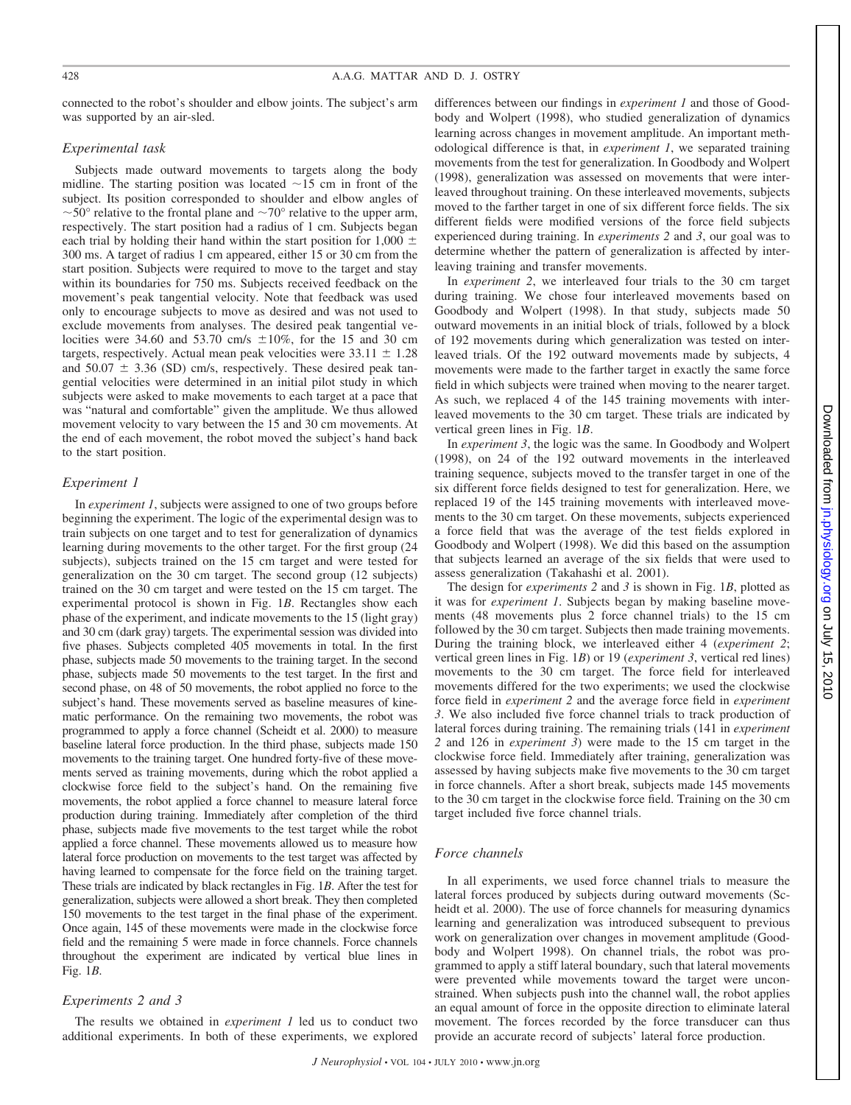connected to the robot's shoulder and elbow joints. The subject's arm was supported by an air-sled.

#### *Experimental task*

Subjects made outward movements to targets along the body midline. The starting position was located  $\sim$ 15 cm in front of the subject. Its position corresponded to shoulder and elbow angles of  $\sim$  50 $\degree$  relative to the frontal plane and  $\sim$  70 $\degree$  relative to the upper arm, respectively. The start position had a radius of 1 cm. Subjects began each trial by holding their hand within the start position for 1,000  $\pm$ 300 ms. A target of radius 1 cm appeared, either 15 or 30 cm from the start position. Subjects were required to move to the target and stay within its boundaries for 750 ms. Subjects received feedback on the movement's peak tangential velocity. Note that feedback was used only to encourage subjects to move as desired and was not used to exclude movements from analyses. The desired peak tangential velocities were 34.60 and 53.70 cm/s  $\pm 10\%$ , for the 15 and 30 cm targets, respectively. Actual mean peak velocities were  $33.11 \pm 1.28$ and  $50.07 \pm 3.36$  (SD) cm/s, respectively. These desired peak tangential velocities were determined in an initial pilot study in which subjects were asked to make movements to each target at a pace that was "natural and comfortable" given the amplitude. We thus allowed movement velocity to vary between the 15 and 30 cm movements. At the end of each movement, the robot moved the subject's hand back to the start position.

#### *Experiment 1*

In *experiment 1*, subjects were assigned to one of two groups before beginning the experiment. The logic of the experimental design was to train subjects on one target and to test for generalization of dynamics learning during movements to the other target. For the first group (24 subjects), subjects trained on the 15 cm target and were tested for generalization on the 30 cm target. The second group (12 subjects) trained on the 30 cm target and were tested on the 15 cm target. The experimental protocol is shown in Fig. 1*B*. Rectangles show each phase of the experiment, and indicate movements to the 15 (light gray) and 30 cm (dark gray) targets. The experimental session was divided into five phases. Subjects completed 405 movements in total. In the first phase, subjects made 50 movements to the training target. In the second phase, subjects made 50 movements to the test target. In the first and second phase, on 48 of 50 movements, the robot applied no force to the subject's hand. These movements served as baseline measures of kinematic performance. On the remaining two movements, the robot was programmed to apply a force channel (Scheidt et al. 2000) to measure baseline lateral force production. In the third phase, subjects made 150 movements to the training target. One hundred forty-five of these movements served as training movements, during which the robot applied a clockwise force field to the subject's hand. On the remaining five movements, the robot applied a force channel to measure lateral force production during training. Immediately after completion of the third phase, subjects made five movements to the test target while the robot applied a force channel. These movements allowed us to measure how lateral force production on movements to the test target was affected by having learned to compensate for the force field on the training target. These trials are indicated by black rectangles in Fig. 1*B*. After the test for generalization, subjects were allowed a short break. They then completed 150 movements to the test target in the final phase of the experiment. Once again, 145 of these movements were made in the clockwise force field and the remaining 5 were made in force channels. Force channels throughout the experiment are indicated by vertical blue lines in Fig. 1*B*.

#### *Experiments 2 and 3*

The results we obtained in *experiment 1* led us to conduct two additional experiments. In both of these experiments, we explored differences between our findings in *experiment 1* and those of Goodbody and Wolpert (1998), who studied generalization of dynamics learning across changes in movement amplitude. An important methodological difference is that, in *experiment 1*, we separated training movements from the test for generalization. In Goodbody and Wolpert (1998), generalization was assessed on movements that were interleaved throughout training. On these interleaved movements, subjects moved to the farther target in one of six different force fields. The six different fields were modified versions of the force field subjects experienced during training. In *experiments 2* and *3*, our goal was to determine whether the pattern of generalization is affected by interleaving training and transfer movements.

In *experiment 2*, we interleaved four trials to the 30 cm target during training. We chose four interleaved movements based on Goodbody and Wolpert (1998). In that study, subjects made 50 outward movements in an initial block of trials, followed by a block of 192 movements during which generalization was tested on interleaved trials. Of the 192 outward movements made by subjects, 4 movements were made to the farther target in exactly the same force field in which subjects were trained when moving to the nearer target. As such, we replaced 4 of the 145 training movements with interleaved movements to the 30 cm target. These trials are indicated by vertical green lines in Fig. 1*B*.

In *experiment 3*, the logic was the same. In Goodbody and Wolpert (1998), on 24 of the 192 outward movements in the interleaved training sequence, subjects moved to the transfer target in one of the six different force fields designed to test for generalization. Here, we replaced 19 of the 145 training movements with interleaved movements to the 30 cm target. On these movements, subjects experienced a force field that was the average of the test fields explored in Goodbody and Wolpert (1998). We did this based on the assumption that subjects learned an average of the six fields that were used to assess generalization (Takahashi et al. 2001).

The design for *experiments 2* and *3* is shown in Fig. 1*B*, plotted as it was for *experiment 1*. Subjects began by making baseline movements (48 movements plus 2 force channel trials) to the 15 cm followed by the 30 cm target. Subjects then made training movements. During the training block, we interleaved either 4 (*experiment 2*; vertical green lines in Fig. 1*B*) or 19 (*experiment 3*, vertical red lines) movements to the 30 cm target. The force field for interleaved movements differed for the two experiments; we used the clockwise force field in *experiment 2* and the average force field in *experiment 3*. We also included five force channel trials to track production of lateral forces during training. The remaining trials (141 in *experiment 2* and 126 in *experiment 3*) were made to the 15 cm target in the clockwise force field. Immediately after training, generalization was assessed by having subjects make five movements to the 30 cm target in force channels. After a short break, subjects made 145 movements to the 30 cm target in the clockwise force field. Training on the 30 cm target included five force channel trials.

#### *Force channels*

In all experiments, we used force channel trials to measure the lateral forces produced by subjects during outward movements (Scheidt et al. 2000). The use of force channels for measuring dynamics learning and generalization was introduced subsequent to previous work on generalization over changes in movement amplitude (Goodbody and Wolpert 1998). On channel trials, the robot was programmed to apply a stiff lateral boundary, such that lateral movements were prevented while movements toward the target were unconstrained. When subjects push into the channel wall, the robot applies an equal amount of force in the opposite direction to eliminate lateral movement. The forces recorded by the force transducer can thus provide an accurate record of subjects' lateral force production.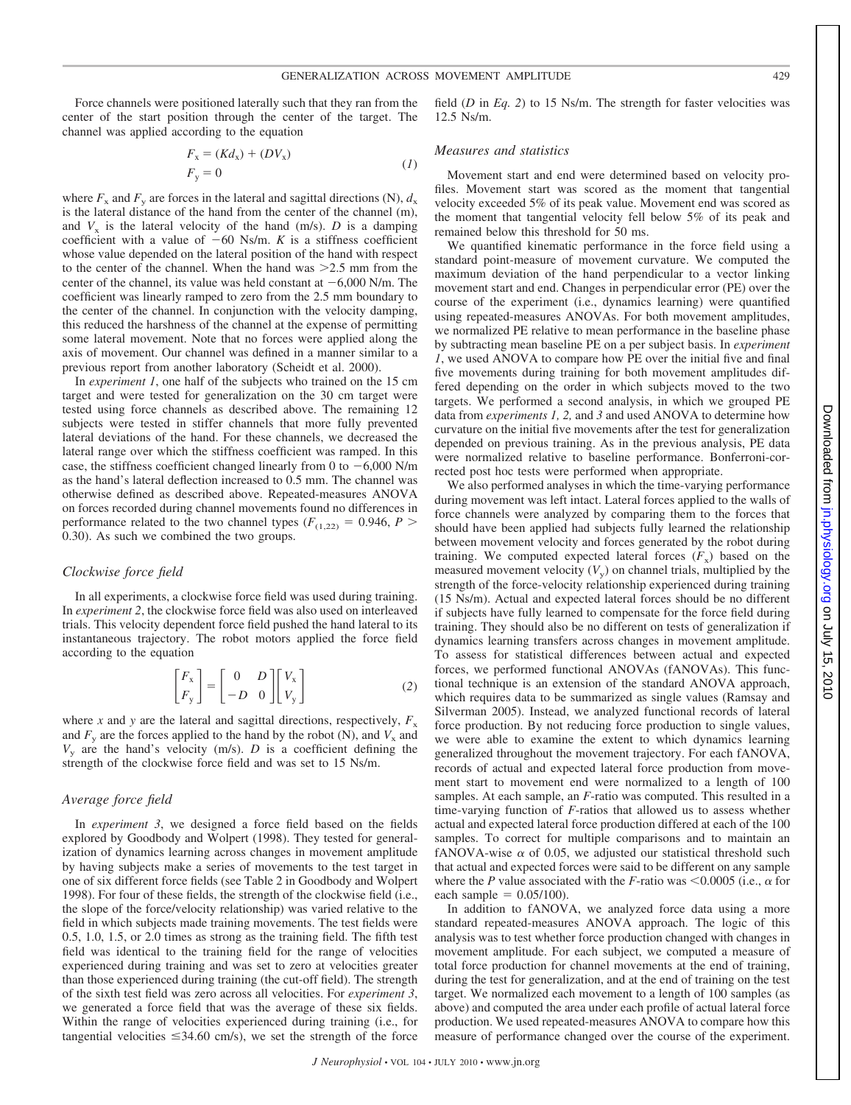Force channels were positioned laterally such that they ran from the center of the start position through the center of the target. The channel was applied according to the equation

$$
F_x = (Kd_x) + (DV_x)
$$
  
\n
$$
F_y = 0
$$
\n(1)

where  $F_x$  and  $F_y$  are forces in the lateral and sagittal directions (N),  $d_x$ is the lateral distance of the hand from the center of the channel (m), and  $V_x$  is the lateral velocity of the hand (m/s). *D* is a damping coefficient with a value of  $-60$  Ns/m. *K* is a stiffness coefficient whose value depended on the lateral position of the hand with respect to the center of the channel. When the hand was  $>2.5$  mm from the center of the channel, its value was held constant at  $-6,000$  N/m. The coefficient was linearly ramped to zero from the 2.5 mm boundary to the center of the channel. In conjunction with the velocity damping, this reduced the harshness of the channel at the expense of permitting some lateral movement. Note that no forces were applied along the axis of movement. Our channel was defined in a manner similar to a previous report from another laboratory (Scheidt et al. 2000).

In *experiment 1*, one half of the subjects who trained on the 15 cm target and were tested for generalization on the 30 cm target were tested using force channels as described above. The remaining 12 subjects were tested in stiffer channels that more fully prevented lateral deviations of the hand. For these channels, we decreased the lateral range over which the stiffness coefficient was ramped. In this case, the stiffness coefficient changed linearly from 0 to  $-6,000$  N/m as the hand's lateral deflection increased to 0.5 mm. The channel was otherwise defined as described above. Repeated-measures ANOVA on forces recorded during channel movements found no differences in performance related to the two channel types ( $F_{(1,22)} = 0.946$ ,  $P >$ 0.30). As such we combined the two groups.

#### *Clockwise force field*

In all experiments, a clockwise force field was used during training. In *experiment 2*, the clockwise force field was also used on interleaved trials. This velocity dependent force field pushed the hand lateral to its instantaneous trajectory. The robot motors applied the force field according to the equation

$$
\begin{bmatrix} F_x \\ F_y \end{bmatrix} = \begin{bmatrix} 0 & D \\ -D & 0 \end{bmatrix} \begin{bmatrix} V_x \\ V_y \end{bmatrix}
$$
 (2)

where *x* and *y* are the lateral and sagittal directions, respectively,  $F<sub>x</sub>$ and  $F_v$  are the forces applied to the hand by the robot (N), and  $V_x$  and  $V<sub>v</sub>$  are the hand's velocity (m/s). *D* is a coefficient defining the strength of the clockwise force field and was set to 15 Ns/m.

#### *Average force field*

In *experiment 3*, we designed a force field based on the fields explored by Goodbody and Wolpert (1998). They tested for generalization of dynamics learning across changes in movement amplitude by having subjects make a series of movements to the test target in one of six different force fields (see Table 2 in Goodbody and Wolpert 1998). For four of these fields, the strength of the clockwise field (i.e., the slope of the force/velocity relationship) was varied relative to the field in which subjects made training movements. The test fields were 0.5, 1.0, 1.5, or 2.0 times as strong as the training field. The fifth test field was identical to the training field for the range of velocities experienced during training and was set to zero at velocities greater than those experienced during training (the cut-off field). The strength of the sixth test field was zero across all velocities. For *experiment 3*, we generated a force field that was the average of these six fields. Within the range of velocities experienced during training (i.e., for tangential velocities  $\leq$ 34.60 cm/s), we set the strength of the force field (*D* in *Eq. 2*) to 15 Ns/m. The strength for faster velocities was 12.5 Ns/m.

#### *Measures and statistics*

Movement start and end were determined based on velocity profiles. Movement start was scored as the moment that tangential velocity exceeded 5% of its peak value. Movement end was scored as the moment that tangential velocity fell below 5% of its peak and remained below this threshold for 50 ms.

We quantified kinematic performance in the force field using a standard point-measure of movement curvature. We computed the maximum deviation of the hand perpendicular to a vector linking movement start and end. Changes in perpendicular error (PE) over the course of the experiment (i.e., dynamics learning) were quantified using repeated-measures ANOVAs. For both movement amplitudes, we normalized PE relative to mean performance in the baseline phase by subtracting mean baseline PE on a per subject basis. In *experiment 1*, we used ANOVA to compare how PE over the initial five and final five movements during training for both movement amplitudes differed depending on the order in which subjects moved to the two targets. We performed a second analysis, in which we grouped PE data from *experiments 1, 2,* and *3* and used ANOVA to determine how curvature on the initial five movements after the test for generalization depended on previous training. As in the previous analysis, PE data were normalized relative to baseline performance. Bonferroni-corrected post hoc tests were performed when appropriate.

We also performed analyses in which the time-varying performance during movement was left intact. Lateral forces applied to the walls of force channels were analyzed by comparing them to the forces that should have been applied had subjects fully learned the relationship between movement velocity and forces generated by the robot during training. We computed expected lateral forces  $(F_x)$  based on the measured movement velocity  $(V_y)$  on channel trials, multiplied by the strength of the force-velocity relationship experienced during training (15 Ns/m). Actual and expected lateral forces should be no different if subjects have fully learned to compensate for the force field during training. They should also be no different on tests of generalization if dynamics learning transfers across changes in movement amplitude. To assess for statistical differences between actual and expected forces, we performed functional ANOVAs (fANOVAs). This functional technique is an extension of the standard ANOVA approach, which requires data to be summarized as single values (Ramsay and Silverman 2005). Instead, we analyzed functional records of lateral force production. By not reducing force production to single values, we were able to examine the extent to which dynamics learning generalized throughout the movement trajectory. For each fANOVA, records of actual and expected lateral force production from movement start to movement end were normalized to a length of 100 samples. At each sample, an *F*-ratio was computed. This resulted in a time-varying function of *F*-ratios that allowed us to assess whether actual and expected lateral force production differed at each of the 100 samples. To correct for multiple comparisons and to maintain an fANOVA-wise  $\alpha$  of 0.05, we adjusted our statistical threshold such that actual and expected forces were said to be different on any sample where the *P* value associated with the *F*-ratio was  $\leq 0.0005$  (i.e.,  $\alpha$  for each sample  $= 0.05/100$ .

In addition to fANOVA, we analyzed force data using a more standard repeated-measures ANOVA approach. The logic of this analysis was to test whether force production changed with changes in movement amplitude. For each subject, we computed a measure of total force production for channel movements at the end of training, during the test for generalization, and at the end of training on the test target. We normalized each movement to a length of 100 samples (as above) and computed the area under each profile of actual lateral force production. We used repeated-measures ANOVA to compare how this measure of performance changed over the course of the experiment.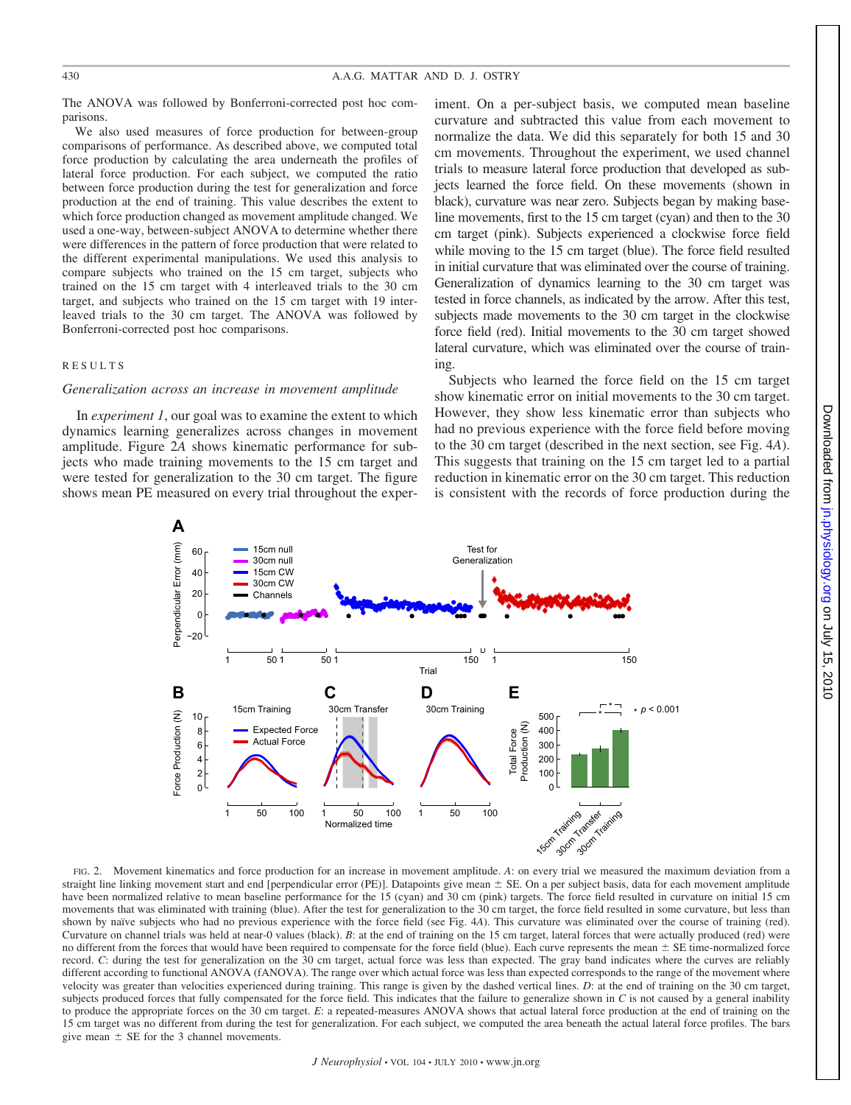The ANOVA was followed by Bonferroni-corrected post hoc comparisons.

We also used measures of force production for between-group comparisons of performance. As described above, we computed total force production by calculating the area underneath the profiles of lateral force production. For each subject, we computed the ratio between force production during the test for generalization and force production at the end of training. This value describes the extent to which force production changed as movement amplitude changed. We used a one-way, between-subject ANOVA to determine whether there were differences in the pattern of force production that were related to the different experimental manipulations. We used this analysis to compare subjects who trained on the 15 cm target, subjects who trained on the 15 cm target with 4 interleaved trials to the 30 cm target, and subjects who trained on the 15 cm target with 19 interleaved trials to the 30 cm target. The ANOVA was followed by Bonferroni-corrected post hoc comparisons.

#### RESULTS

#### *Generalization across an increase in movement amplitude*

In *experiment 1*, our goal was to examine the extent to which dynamics learning generalizes across changes in movement amplitude. Figure 2*A* shows kinematic performance for subjects who made training movements to the 15 cm target and were tested for generalization to the 30 cm target. The figure shows mean PE measured on every trial throughout the experiment. On a per-subject basis, we computed mean baseline curvature and subtracted this value from each movement to normalize the data. We did this separately for both 15 and 30 cm movements. Throughout the experiment, we used channel trials to measure lateral force production that developed as subjects learned the force field. On these movements (shown in black), curvature was near zero. Subjects began by making baseline movements, first to the 15 cm target (cyan) and then to the 30 cm target (pink). Subjects experienced a clockwise force field while moving to the 15 cm target (blue). The force field resulted in initial curvature that was eliminated over the course of training. Generalization of dynamics learning to the 30 cm target was tested in force channels, as indicated by the arrow. After this test, subjects made movements to the 30 cm target in the clockwise force field (red). Initial movements to the 30 cm target showed lateral curvature, which was eliminated over the course of training.

Subjects who learned the force field on the 15 cm target show kinematic error on initial movements to the 30 cm target. However, they show less kinematic error than subjects who had no previous experience with the force field before moving to the 30 cm target (described in the next section, see Fig. 4*A*). This suggests that training on the 15 cm target led to a partial reduction in kinematic error on the 30 cm target. This reduction is consistent with the records of force production during the



FIG. 2. Movement kinematics and force production for an increase in movement amplitude. *A*: on every trial we measured the maximum deviation from a straight line linking movement start and end [perpendicular error (PE)]. Datapoints give mean  $\pm$  SE. On a per subject basis, data for each movement amplitude have been normalized relative to mean baseline performance for the 15 (cyan) and 30 cm (pink) targets. The force field resulted in curvature on initial 15 cm movements that was eliminated with training (blue). After the test for generalization to the 30 cm target, the force field resulted in some curvature, but less than shown by naïve subjects who had no previous experience with the force field (see Fig. 4*A*). This curvature was eliminated over the course of training (red). Curvature on channel trials was held at near-0 values (black). *B*: at the end of training on the 15 cm target, lateral forces that were actually produced (red) were no different from the forces that would have been required to compensate for the force field (blue). Each curve represents the mean  $\pm$  SE time-normalized force record. *C*: during the test for generalization on the 30 cm target, actual force was less than expected. The gray band indicates where the curves are reliably different according to functional ANOVA (fANOVA). The range over which actual force was less than expected corresponds to the range of the movement where velocity was greater than velocities experienced during training. This range is given by the dashed vertical lines. *D*: at the end of training on the 30 cm target, subjects produced forces that fully compensated for the force field. This indicates that the failure to generalize shown in *C* is not caused by a general inability to produce the appropriate forces on the 30 cm target. *E*: a repeated-measures ANOVA shows that actual lateral force production at the end of training on the 15 cm target was no different from during the test for generalization. For each subject, we computed the area beneath the actual lateral force profiles. The bars give mean  $\pm$  SE for the 3 channel movements.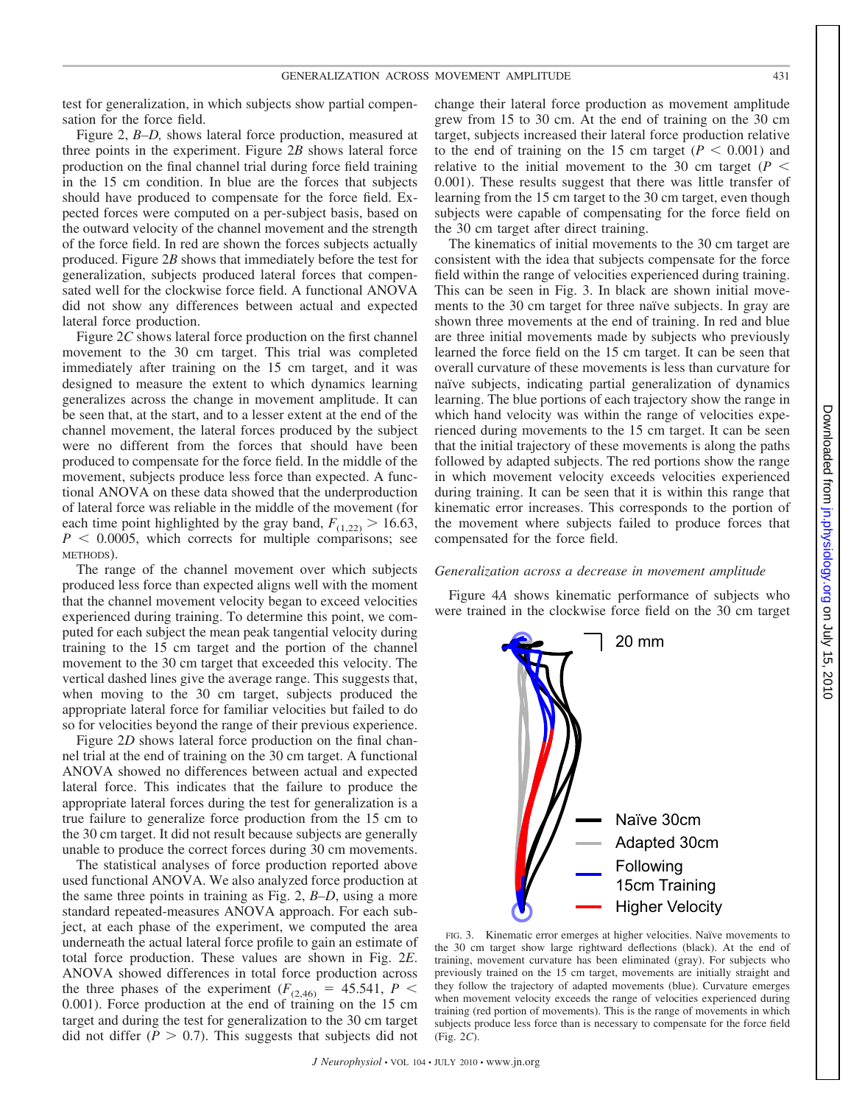test for generalization, in which subjects show partial compensation for the force field.

Figure 2, *B–D,* shows lateral force production, measured at three points in the experiment. Figure 2*B* shows lateral force production on the final channel trial during force field training in the 15 cm condition. In blue are the forces that subjects should have produced to compensate for the force field. Expected forces were computed on a per-subject basis, based on the outward velocity of the channel movement and the strength of the force field. In red are shown the forces subjects actually produced. Figure 2*B* shows that immediately before the test for generalization, subjects produced lateral forces that compensated well for the clockwise force field. A functional ANOVA did not show any differences between actual and expected lateral force production.

Figure 2*C* shows lateral force production on the first channel movement to the 30 cm target. This trial was completed immediately after training on the 15 cm target, and it was designed to measure the extent to which dynamics learning generalizes across the change in movement amplitude. It can be seen that, at the start, and to a lesser extent at the end of the channel movement, the lateral forces produced by the subject were no different from the forces that should have been produced to compensate for the force field. In the middle of the movement, subjects produce less force than expected. A functional ANOVA on these data showed that the underproduction of lateral force was reliable in the middle of the movement (for each time point highlighted by the gray band,  $F_{(1,22)} > 16.63$ ,  $P < 0.0005$ , which corrects for multiple comparisons; see METHODS).

The range of the channel movement over which subjects produced less force than expected aligns well with the moment that the channel movement velocity began to exceed velocities experienced during training. To determine this point, we computed for each subject the mean peak tangential velocity during training to the 15 cm target and the portion of the channel movement to the 30 cm target that exceeded this velocity. The vertical dashed lines give the average range. This suggests that, when moving to the 30 cm target, subjects produced the appropriate lateral force for familiar velocities but failed to do so for velocities beyond the range of their previous experience.

Figure 2*D* shows lateral force production on the final channel trial at the end of training on the 30 cm target. A functional ANOVA showed no differences between actual and expected lateral force. This indicates that the failure to produce the appropriate lateral forces during the test for generalization is a true failure to generalize force production from the 15 cm to the 30 cm target. It did not result because subjects are generally unable to produce the correct forces during 30 cm movements.

The statistical analyses of force production reported above used functional ANOVA. We also analyzed force production at the same three points in training as Fig. 2, *B–D*, using a more standard repeated-measures ANOVA approach. For each subject, at each phase of the experiment, we computed the area underneath the actual lateral force profile to gain an estimate of total force production. These values are shown in Fig. 2*E*. ANOVA showed differences in total force production across the three phases of the experiment ( $F_{(2,46)} = 45.541$ ,  $P <$ 0.001). Force production at the end of training on the 15 cm target and during the test for generalization to the 30 cm target did not differ  $(P > 0.7)$ . This suggests that subjects did not change their lateral force production as movement amplitude grew from 15 to 30 cm. At the end of training on the 30 cm target, subjects increased their lateral force production relative to the end of training on the 15 cm target  $(P < 0.001)$  and relative to the initial movement to the 30 cm target ( $P \leq$ 0.001). These results suggest that there was little transfer of learning from the 15 cm target to the 30 cm target, even though subjects were capable of compensating for the force field on the 30 cm target after direct training.

The kinematics of initial movements to the 30 cm target are consistent with the idea that subjects compensate for the force field within the range of velocities experienced during training. This can be seen in Fig. 3. In black are shown initial movements to the 30 cm target for three naïve subjects. In gray are shown three movements at the end of training. In red and blue are three initial movements made by subjects who previously learned the force field on the 15 cm target. It can be seen that overall curvature of these movements is less than curvature for naïve subjects, indicating partial generalization of dynamics learning. The blue portions of each trajectory show the range in which hand velocity was within the range of velocities experienced during movements to the 15 cm target. It can be seen that the initial trajectory of these movements is along the paths followed by adapted subjects. The red portions show the range in which movement velocity exceeds velocities experienced during training. It can be seen that it is within this range that kinematic error increases. This corresponds to the portion of the movement where subjects failed to produce forces that compensated for the force field.

#### *Generalization across a decrease in movement amplitude*

Figure 4*A* shows kinematic performance of subjects who were trained in the clockwise force field on the 30 cm target

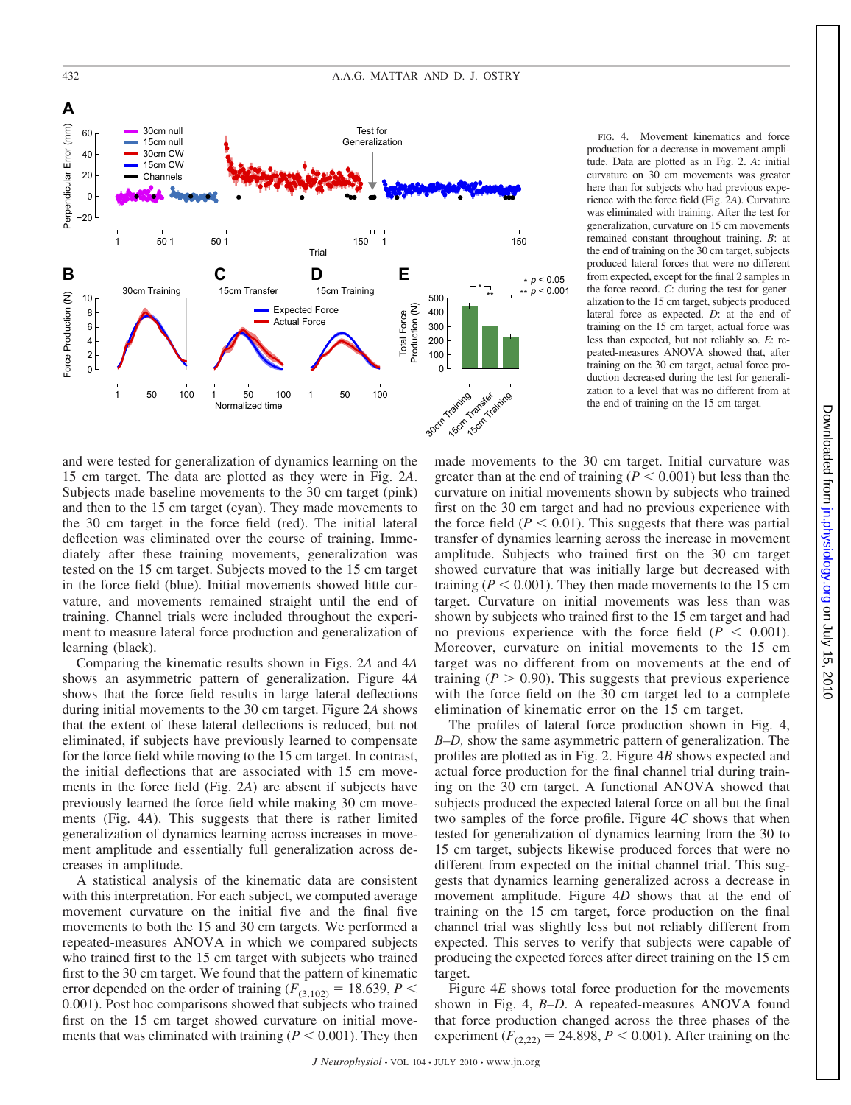

FIG. 4. Movement kinematics and force production for a decrease in movement amplitude. Data are plotted as in Fig. 2. *A*: initial curvature on 30 cm movements was greater here than for subjects who had previous experience with the force field (Fig. 2*A*). Curvature was eliminated with training. After the test for generalization, curvature on 15 cm movements remained constant throughout training. *B*: at the end of training on the 30 cm target, subjects produced lateral forces that were no different from expected, except for the final 2 samples in the force record. *C*: during the test for generalization to the 15 cm target, subjects produced lateral force as expected. *D*: at the end of training on the 15 cm target, actual force was less than expected, but not reliably so. *E*: repeated-measures ANOVA showed that, after training on the 30 cm target, actual force production decreased during the test for generalization to a level that was no different from at the end of training on the 15 cm target.

and were tested for generalization of dynamics learning on the 15 cm target. The data are plotted as they were in Fig. 2*A*. Subjects made baseline movements to the 30 cm target (pink) and then to the 15 cm target (cyan). They made movements to the 30 cm target in the force field (red). The initial lateral deflection was eliminated over the course of training. Immediately after these training movements, generalization was tested on the 15 cm target. Subjects moved to the 15 cm target in the force field (blue). Initial movements showed little curvature, and movements remained straight until the end of training. Channel trials were included throughout the experiment to measure lateral force production and generalization of learning (black).

Comparing the kinematic results shown in Figs. 2*A* and 4*A* shows an asymmetric pattern of generalization. Figure 4*A* shows that the force field results in large lateral deflections during initial movements to the 30 cm target. Figure 2*A* shows that the extent of these lateral deflections is reduced, but not eliminated, if subjects have previously learned to compensate for the force field while moving to the 15 cm target. In contrast, the initial deflections that are associated with 15 cm movements in the force field (Fig. 2*A*) are absent if subjects have previously learned the force field while making 30 cm movements (Fig. 4*A*). This suggests that there is rather limited generalization of dynamics learning across increases in movement amplitude and essentially full generalization across decreases in amplitude.

A statistical analysis of the kinematic data are consistent with this interpretation. For each subject, we computed average movement curvature on the initial five and the final five movements to both the 15 and 30 cm targets. We performed a repeated-measures ANOVA in which we compared subjects who trained first to the 15 cm target with subjects who trained first to the 30 cm target. We found that the pattern of kinematic error depended on the order of training ( $F_{(3,102)} = 18.639$ ,  $P <$ 0.001). Post hoc comparisons showed that subjects who trained first on the 15 cm target showed curvature on initial movements that was eliminated with training  $(P \leq 0.001)$ . They then made movements to the 30 cm target. Initial curvature was greater than at the end of training ( $P \leq 0.001$ ) but less than the curvature on initial movements shown by subjects who trained first on the 30 cm target and had no previous experience with the force field  $(P < 0.01)$ . This suggests that there was partial transfer of dynamics learning across the increase in movement amplitude. Subjects who trained first on the 30 cm target showed curvature that was initially large but decreased with training ( $P < 0.001$ ). They then made movements to the 15 cm target. Curvature on initial movements was less than was shown by subjects who trained first to the 15 cm target and had no previous experience with the force field  $(P < 0.001)$ . Moreover, curvature on initial movements to the 15 cm target was no different from on movements at the end of training  $(P > 0.90)$ . This suggests that previous experience with the force field on the 30 cm target led to a complete elimination of kinematic error on the 15 cm target.

The profiles of lateral force production shown in Fig. 4, *B–D,* show the same asymmetric pattern of generalization. The profiles are plotted as in Fig. 2. Figure 4*B* shows expected and actual force production for the final channel trial during training on the 30 cm target. A functional ANOVA showed that subjects produced the expected lateral force on all but the final two samples of the force profile. Figure 4*C* shows that when tested for generalization of dynamics learning from the 30 to 15 cm target, subjects likewise produced forces that were no different from expected on the initial channel trial. This suggests that dynamics learning generalized across a decrease in movement amplitude. Figure 4*D* shows that at the end of training on the 15 cm target, force production on the final channel trial was slightly less but not reliably different from expected. This serves to verify that subjects were capable of producing the expected forces after direct training on the 15 cm target.

Figure 4*E* shows total force production for the movements shown in Fig. 4, *B–D*. A repeated-measures ANOVA found that force production changed across the three phases of the experiment ( $F_{(2,22)} = 24.898$ ,  $P < 0.001$ ). After training on the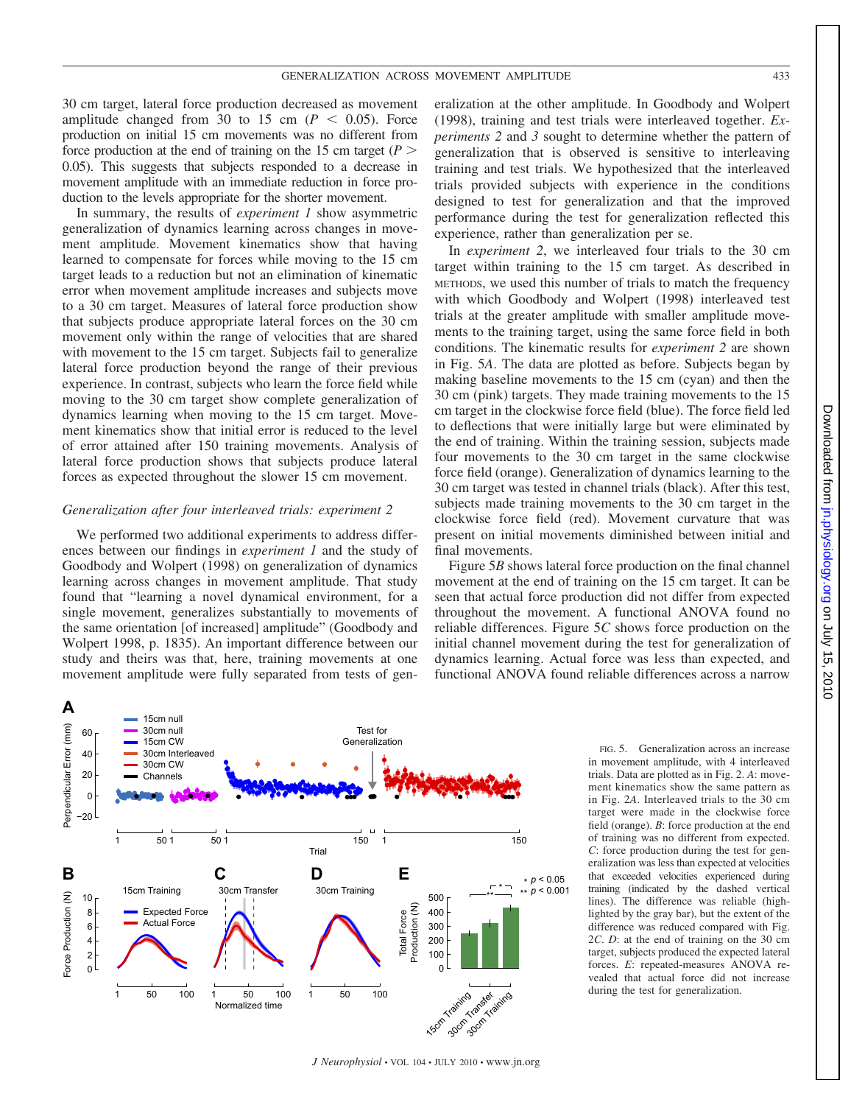#### GENERALIZATION ACROSS MOVEMENT AMPLITUDE 433

30 cm target, lateral force production decreased as movement amplitude changed from 30 to 15 cm  $(P < 0.05)$ . Force production on initial 15 cm movements was no different from force production at the end of training on the 15 cm target  $(P >$ 0.05). This suggests that subjects responded to a decrease in movement amplitude with an immediate reduction in force production to the levels appropriate for the shorter movement.

In summary, the results of *experiment 1* show asymmetric generalization of dynamics learning across changes in movement amplitude. Movement kinematics show that having learned to compensate for forces while moving to the 15 cm target leads to a reduction but not an elimination of kinematic error when movement amplitude increases and subjects move to a 30 cm target. Measures of lateral force production show that subjects produce appropriate lateral forces on the 30 cm movement only within the range of velocities that are shared with movement to the 15 cm target. Subjects fail to generalize lateral force production beyond the range of their previous experience. In contrast, subjects who learn the force field while moving to the 30 cm target show complete generalization of dynamics learning when moving to the 15 cm target. Movement kinematics show that initial error is reduced to the level of error attained after 150 training movements. Analysis of lateral force production shows that subjects produce lateral forces as expected throughout the slower 15 cm movement.

#### *Generalization after four interleaved trials: experiment 2*

We performed two additional experiments to address differences between our findings in *experiment 1* and the study of Goodbody and Wolpert (1998) on generalization of dynamics learning across changes in movement amplitude. That study found that "learning a novel dynamical environment, for a single movement, generalizes substantially to movements of the same orientation [of increased] amplitude" (Goodbody and Wolpert 1998, p. 1835). An important difference between our study and theirs was that, here, training movements at one movement amplitude were fully separated from tests of generalization at the other amplitude. In Goodbody and Wolpert (1998), training and test trials were interleaved together. *Experiments 2* and *3* sought to determine whether the pattern of generalization that is observed is sensitive to interleaving training and test trials. We hypothesized that the interleaved trials provided subjects with experience in the conditions designed to test for generalization and that the improved performance during the test for generalization reflected this experience, rather than generalization per se.

In *experiment 2*, we interleaved four trials to the 30 cm target within training to the 15 cm target. As described in METHODS, we used this number of trials to match the frequency with which Goodbody and Wolpert (1998) interleaved test trials at the greater amplitude with smaller amplitude movements to the training target, using the same force field in both conditions. The kinematic results for *experiment 2* are shown in Fig. 5*A*. The data are plotted as before. Subjects began by making baseline movements to the 15 cm (cyan) and then the 30 cm (pink) targets. They made training movements to the 15 cm target in the clockwise force field (blue). The force field led to deflections that were initially large but were eliminated by the end of training. Within the training session, subjects made four movements to the 30 cm target in the same clockwise force field (orange). Generalization of dynamics learning to the 30 cm target was tested in channel trials (black). After this test, subjects made training movements to the 30 cm target in the clockwise force field (red). Movement curvature that was present on initial movements diminished between initial and final movements.

Figure 5*B* shows lateral force production on the final channel movement at the end of training on the 15 cm target. It can be seen that actual force production did not differ from expected throughout the movement. A functional ANOVA found no reliable differences. Figure 5*C* shows force production on the initial channel movement during the test for generalization of dynamics learning. Actual force was less than expected, and functional ANOVA found reliable differences across a narrow



FIG. 5. Generalization across an increase in movement amplitude, with 4 interleaved trials. Data are plotted as in Fig. 2. *A*: movement kinematics show the same pattern as in Fig. 2*A*. Interleaved trials to the 30 cm target were made in the clockwise force field (orange). *B*: force production at the end of training was no different from expected. *C*: force production during the test for generalization was less than expected at velocities that exceeded velocities experienced during training (indicated by the dashed vertical lines). The difference was reliable (highlighted by the gray bar), but the extent of the difference was reduced compared with Fig. 2*C*. *D*: at the end of training on the 30 cm target, subjects produced the expected lateral forces. *E*: repeated-measures ANOVA revealed that actual force did not increase during the test for generalization.

*J Neurophysiol* • VOL 104 • JULY 2010 • www.jn.org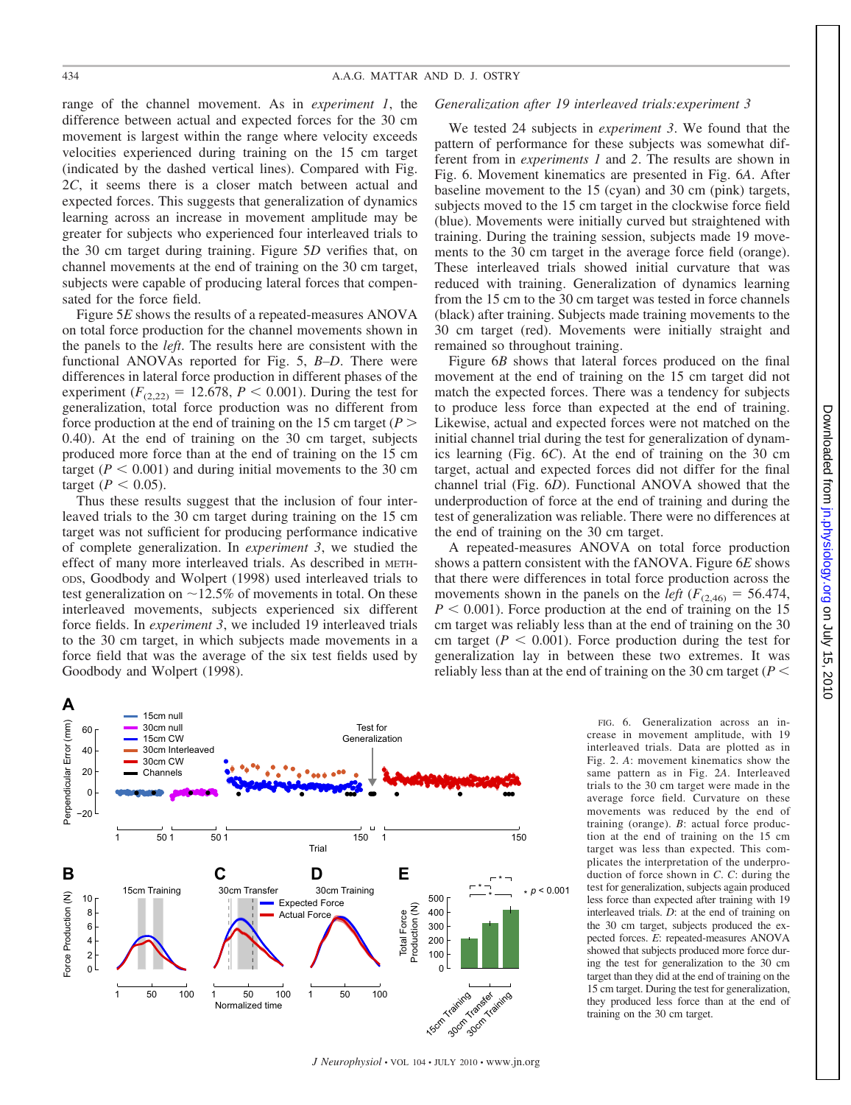range of the channel movement. As in *experiment 1*, the difference between actual and expected forces for the 30 cm movement is largest within the range where velocity exceeds velocities experienced during training on the 15 cm target (indicated by the dashed vertical lines). Compared with Fig. 2*C*, it seems there is a closer match between actual and expected forces. This suggests that generalization of dynamics learning across an increase in movement amplitude may be greater for subjects who experienced four interleaved trials to the 30 cm target during training. Figure 5*D* verifies that, on channel movements at the end of training on the 30 cm target, subjects were capable of producing lateral forces that compensated for the force field.

Figure 5*E* shows the results of a repeated-measures ANOVA on total force production for the channel movements shown in the panels to the *left*. The results here are consistent with the functional ANOVAs reported for Fig. 5, *B–D*. There were differences in lateral force production in different phases of the experiment ( $F_{(2,22)} = 12.678$ ,  $P < 0.001$ ). During the test for generalization, total force production was no different from force production at the end of training on the 15 cm target ( $P$  > 0.40). At the end of training on the 30 cm target, subjects produced more force than at the end of training on the 15 cm target ( $P < 0.001$ ) and during initial movements to the 30 cm target ( $P < 0.05$ ).

Thus these results suggest that the inclusion of four interleaved trials to the 30 cm target during training on the 15 cm target was not sufficient for producing performance indicative of complete generalization. In *experiment 3*, we studied the effect of many more interleaved trials. As described in METH-ODS, Goodbody and Wolpert (1998) used interleaved trials to test generalization on  $\sim$  12.5% of movements in total. On these interleaved movements, subjects experienced six different force fields. In *experiment 3*, we included 19 interleaved trials to the 30 cm target, in which subjects made movements in a force field that was the average of the six test fields used by Goodbody and Wolpert (1998).

#### *Generalization after 19 interleaved trials:experiment 3*

We tested 24 subjects in *experiment 3*. We found that the pattern of performance for these subjects was somewhat different from in *experiments 1* and *2*. The results are shown in Fig. 6. Movement kinematics are presented in Fig. 6*A*. After baseline movement to the 15 (cyan) and 30 cm (pink) targets, subjects moved to the 15 cm target in the clockwise force field (blue). Movements were initially curved but straightened with training. During the training session, subjects made 19 movements to the 30 cm target in the average force field (orange). These interleaved trials showed initial curvature that was reduced with training. Generalization of dynamics learning from the 15 cm to the 30 cm target was tested in force channels (black) after training. Subjects made training movements to the 30 cm target (red). Movements were initially straight and remained so throughout training.

Figure 6*B* shows that lateral forces produced on the final movement at the end of training on the 15 cm target did not match the expected forces. There was a tendency for subjects to produce less force than expected at the end of training. Likewise, actual and expected forces were not matched on the initial channel trial during the test for generalization of dynamics learning (Fig. 6*C*). At the end of training on the 30 cm target, actual and expected forces did not differ for the final channel trial (Fig. 6*D*). Functional ANOVA showed that the underproduction of force at the end of training and during the test of generalization was reliable. There were no differences at the end of training on the 30 cm target.

A repeated-measures ANOVA on total force production shows a pattern consistent with the fANOVA. Figure 6*E* shows that there were differences in total force production across the movements shown in the panels on the *left* ( $F_{(2,46)} = 56.474$ ,  $P < 0.001$ ). Force production at the end of training on the 15 cm target was reliably less than at the end of training on the 30 cm target ( $P < 0.001$ ). Force production during the test for generalization lay in between these two extremes. It was reliably less than at the end of training on the 30 cm target ( $P <$ 



*J Neurophysiol* • VOL 104 • JULY 2010 • www.jn.org

FIG. 6. Generalization across an increase in movement amplitude, with 19 interleaved trials. Data are plotted as in Fig. 2. *A*: movement kinematics show the same pattern as in Fig. 2*A*. Interleaved trials to the 30 cm target were made in the average force field. Curvature on these movements was reduced by the end of training (orange). *B*: actual force production at the end of training on the 15 cm target was less than expected. This complicates the interpretation of the underproduction of force shown in *C*. *C*: during the test for generalization, subjects again produced less force than expected after training with 19 interleaved trials. *D*: at the end of training on the 30 cm target, subjects produced the expected forces. *E*: repeated-measures ANOVA showed that subjects produced more force during the test for generalization to the 30 cm target than they did at the end of training on the 15 cm target. During the test for generalization, they produced less force than at the end of training on the 30 cm target.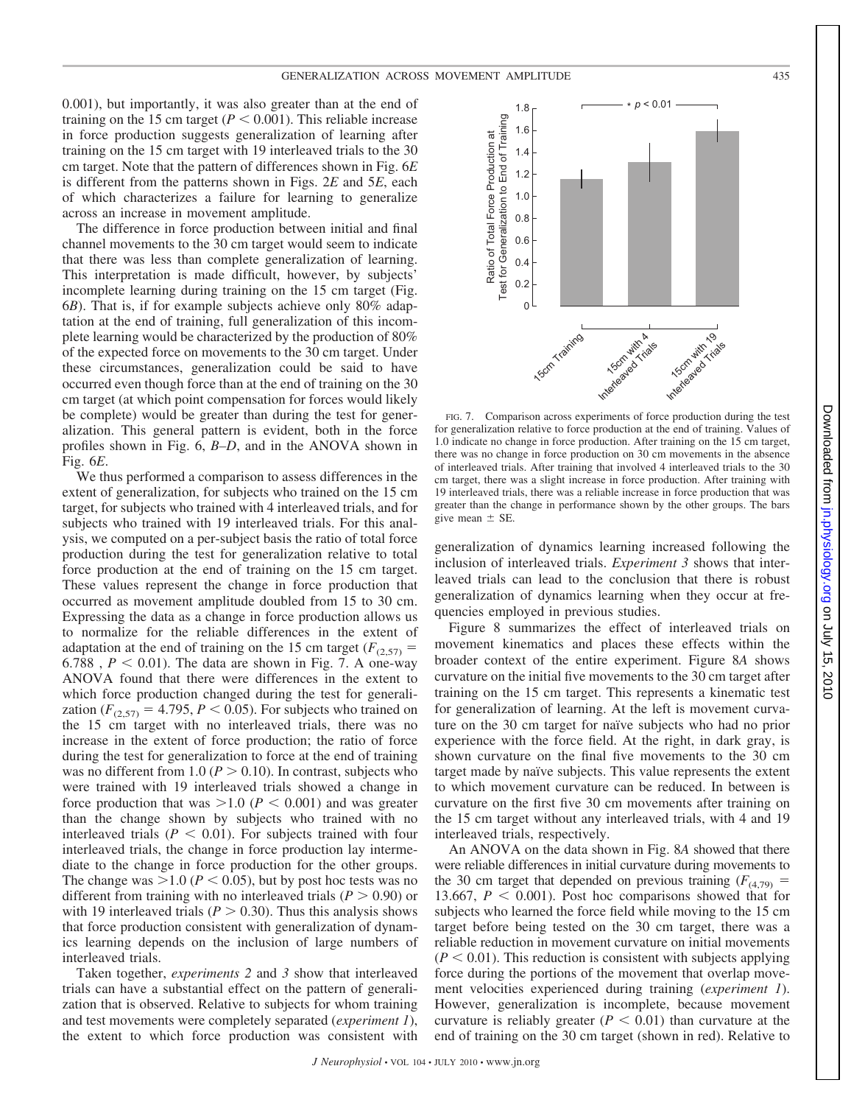0.001), but importantly, it was also greater than at the end of training on the 15 cm target  $(P < 0.001)$ . This reliable increase in force production suggests generalization of learning after training on the 15 cm target with 19 interleaved trials to the 30 cm target. Note that the pattern of differences shown in Fig. 6*E* is different from the patterns shown in Figs. 2*E* and 5*E*, each of which characterizes a failure for learning to generalize across an increase in movement amplitude.

The difference in force production between initial and final channel movements to the 30 cm target would seem to indicate that there was less than complete generalization of learning. This interpretation is made difficult, however, by subjects' incomplete learning during training on the 15 cm target (Fig. 6*B*). That is, if for example subjects achieve only 80% adaptation at the end of training, full generalization of this incomplete learning would be characterized by the production of 80% of the expected force on movements to the 30 cm target. Under these circumstances, generalization could be said to have occurred even though force than at the end of training on the 30 cm target (at which point compensation for forces would likely be complete) would be greater than during the test for generalization. This general pattern is evident, both in the force profiles shown in Fig. 6, *B–D*, and in the ANOVA shown in Fig. 6*E*.

We thus performed a comparison to assess differences in the extent of generalization, for subjects who trained on the 15 cm target, for subjects who trained with 4 interleaved trials, and for subjects who trained with 19 interleaved trials. For this analysis, we computed on a per-subject basis the ratio of total force production during the test for generalization relative to total force production at the end of training on the 15 cm target. These values represent the change in force production that occurred as movement amplitude doubled from 15 to 30 cm. Expressing the data as a change in force production allows us to normalize for the reliable differences in the extent of adaptation at the end of training on the 15 cm target ( $F_{(2,57)}$  = 6.788,  $P < 0.01$ ). The data are shown in Fig. 7. A one-way ANOVA found that there were differences in the extent to which force production changed during the test for generalization ( $F_{(2,57)} = 4.795$ ,  $P < 0.05$ ). For subjects who trained on the 15 cm target with no interleaved trials, there was no increase in the extent of force production; the ratio of force during the test for generalization to force at the end of training was no different from 1.0 ( $P > 0.10$ ). In contrast, subjects who were trained with 19 interleaved trials showed a change in force production that was  $>1.0$  ( $P < 0.001$ ) and was greater than the change shown by subjects who trained with no interleaved trials ( $P < 0.01$ ). For subjects trained with four interleaved trials, the change in force production lay intermediate to the change in force production for the other groups. The change was  $>1.0$  ( $P < 0.05$ ), but by post hoc tests was no different from training with no interleaved trials ( $P > 0.90$ ) or with 19 interleaved trials ( $P > 0.30$ ). Thus this analysis shows that force production consistent with generalization of dynamics learning depends on the inclusion of large numbers of interleaved trials.

Taken together, *experiments 2* and *3* show that interleaved trials can have a substantial effect on the pattern of generalization that is observed. Relative to subjects for whom training and test movements were completely separated (*experiment 1*), the extent to which force production was consistent with



FIG. 7. Comparison across experiments of force production during the test for generalization relative to force production at the end of training. Values of 1.0 indicate no change in force production. After training on the 15 cm target, there was no change in force production on 30 cm movements in the absence of interleaved trials. After training that involved 4 interleaved trials to the 30 cm target, there was a slight increase in force production. After training with 19 interleaved trials, there was a reliable increase in force production that was greater than the change in performance shown by the other groups. The bars give mean  $\pm$  SE.

generalization of dynamics learning increased following the inclusion of interleaved trials. *Experiment 3* shows that interleaved trials can lead to the conclusion that there is robust generalization of dynamics learning when they occur at frequencies employed in previous studies.

Figure 8 summarizes the effect of interleaved trials on movement kinematics and places these effects within the broader context of the entire experiment. Figure 8*A* shows curvature on the initial five movements to the 30 cm target after training on the 15 cm target. This represents a kinematic test for generalization of learning. At the left is movement curvature on the 30 cm target for naïve subjects who had no prior experience with the force field. At the right, in dark gray, is shown curvature on the final five movements to the 30 cm target made by naïve subjects. This value represents the extent to which movement curvature can be reduced. In between is curvature on the first five 30 cm movements after training on the 15 cm target without any interleaved trials, with 4 and 19 interleaved trials, respectively.

An ANOVA on the data shown in Fig. 8*A* showed that there were reliable differences in initial curvature during movements to the 30 cm target that depended on previous training  $(F_{(4,79)} =$ 13.667,  $P < 0.001$ ). Post hoc comparisons showed that for subjects who learned the force field while moving to the 15 cm target before being tested on the 30 cm target, there was a reliable reduction in movement curvature on initial movements  $(P < 0.01)$ . This reduction is consistent with subjects applying force during the portions of the movement that overlap movement velocities experienced during training (*experiment 1*). However, generalization is incomplete, because movement curvature is reliably greater  $(P < 0.01)$  than curvature at the end of training on the 30 cm target (shown in red). Relative to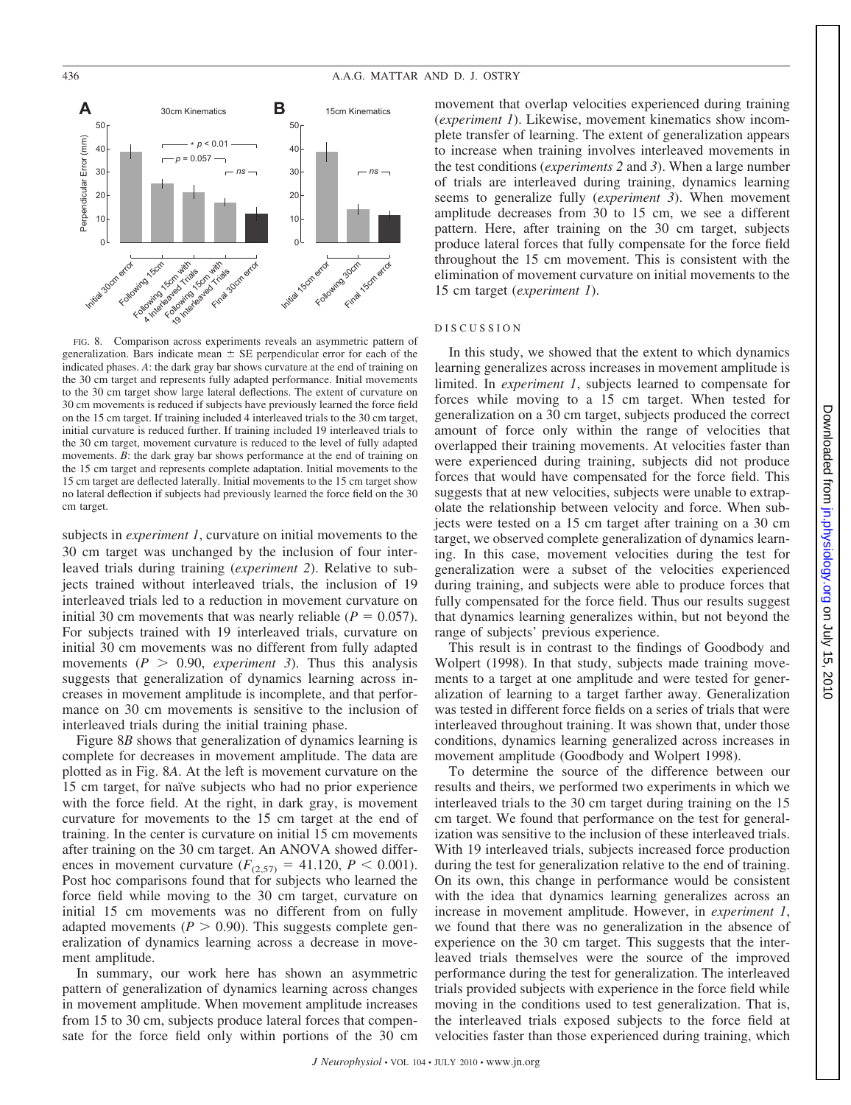

FIG. 8. Comparison across experiments reveals an asymmetric pattern of generalization. Bars indicate mean  $\pm$  SE perpendicular error for each of the indicated phases. *A*: the dark gray bar shows curvature at the end of training on the 30 cm target and represents fully adapted performance. Initial movements to the 30 cm target show large lateral deflections. The extent of curvature on 30 cm movements is reduced if subjects have previously learned the force field on the 15 cm target. If training included 4 interleaved trials to the 30 cm target, initial curvature is reduced further. If training included 19 interleaved trials to the 30 cm target, movement curvature is reduced to the level of fully adapted movements. *B*: the dark gray bar shows performance at the end of training on the 15 cm target and represents complete adaptation. Initial movements to the 15 cm target are deflected laterally. Initial movements to the 15 cm target show no lateral deflection if subjects had previously learned the force field on the 30 cm target.

subjects in *experiment 1*, curvature on initial movements to the 30 cm target was unchanged by the inclusion of four interleaved trials during training (*experiment 2*). Relative to subjects trained without interleaved trials, the inclusion of 19 interleaved trials led to a reduction in movement curvature on initial 30 cm movements that was nearly reliable  $(P = 0.057)$ . For subjects trained with 19 interleaved trials, curvature on initial 30 cm movements was no different from fully adapted movements  $(P > 0.90,$  *experiment 3*). Thus this analysis suggests that generalization of dynamics learning across increases in movement amplitude is incomplete, and that performance on 30 cm movements is sensitive to the inclusion of interleaved trials during the initial training phase.

Figure 8*B* shows that generalization of dynamics learning is complete for decreases in movement amplitude. The data are plotted as in Fig. 8*A*. At the left is movement curvature on the 15 cm target, for naïve subjects who had no prior experience with the force field. At the right, in dark gray, is movement curvature for movements to the 15 cm target at the end of training. In the center is curvature on initial 15 cm movements after training on the 30 cm target. An ANOVA showed differences in movement curvature  $(F_{(2,57)} = 41.120, P \le 0.001)$ . Post hoc comparisons found that for subjects who learned the force field while moving to the 30 cm target, curvature on initial 15 cm movements was no different from on fully adapted movements  $(P > 0.90)$ . This suggests complete generalization of dynamics learning across a decrease in movement amplitude.

In summary, our work here has shown an asymmetric pattern of generalization of dynamics learning across changes in movement amplitude. When movement amplitude increases from 15 to 30 cm, subjects produce lateral forces that compensate for the force field only within portions of the 30 cm movement that overlap velocities experienced during training (*experiment 1*). Likewise, movement kinematics show incomplete transfer of learning. The extent of generalization appears to increase when training involves interleaved movements in the test conditions (*experiments 2* and *3*). When a large number of trials are interleaved during training, dynamics learning seems to generalize fully (*experiment 3*). When movement amplitude decreases from 30 to 15 cm, we see a different pattern. Here, after training on the 30 cm target, subjects produce lateral forces that fully compensate for the force field throughout the 15 cm movement. This is consistent with the elimination of movement curvature on initial movements to the 15 cm target (*experiment 1*).

#### DISCUSSION

In this study, we showed that the extent to which dynamics learning generalizes across increases in movement amplitude is limited. In *experiment 1*, subjects learned to compensate for forces while moving to a 15 cm target. When tested for generalization on a 30 cm target, subjects produced the correct amount of force only within the range of velocities that overlapped their training movements. At velocities faster than were experienced during training, subjects did not produce forces that would have compensated for the force field. This suggests that at new velocities, subjects were unable to extrapolate the relationship between velocity and force. When subjects were tested on a 15 cm target after training on a 30 cm target, we observed complete generalization of dynamics learning. In this case, movement velocities during the test for generalization were a subset of the velocities experienced during training, and subjects were able to produce forces that fully compensated for the force field. Thus our results suggest that dynamics learning generalizes within, but not beyond the range of subjects' previous experience.

This result is in contrast to the findings of Goodbody and Wolpert (1998). In that study, subjects made training movements to a target at one amplitude and were tested for generalization of learning to a target farther away. Generalization was tested in different force fields on a series of trials that were interleaved throughout training. It was shown that, under those conditions, dynamics learning generalized across increases in movement amplitude (Goodbody and Wolpert 1998).

To determine the source of the difference between our results and theirs, we performed two experiments in which we interleaved trials to the 30 cm target during training on the 15 cm target. We found that performance on the test for generalization was sensitive to the inclusion of these interleaved trials. With 19 interleaved trials, subjects increased force production during the test for generalization relative to the end of training. On its own, this change in performance would be consistent with the idea that dynamics learning generalizes across an increase in movement amplitude. However, in *experiment 1*, we found that there was no generalization in the absence of experience on the 30 cm target. This suggests that the interleaved trials themselves were the source of the improved performance during the test for generalization. The interleaved trials provided subjects with experience in the force field while moving in the conditions used to test generalization. That is, the interleaved trials exposed subjects to the force field at velocities faster than those experienced during training, which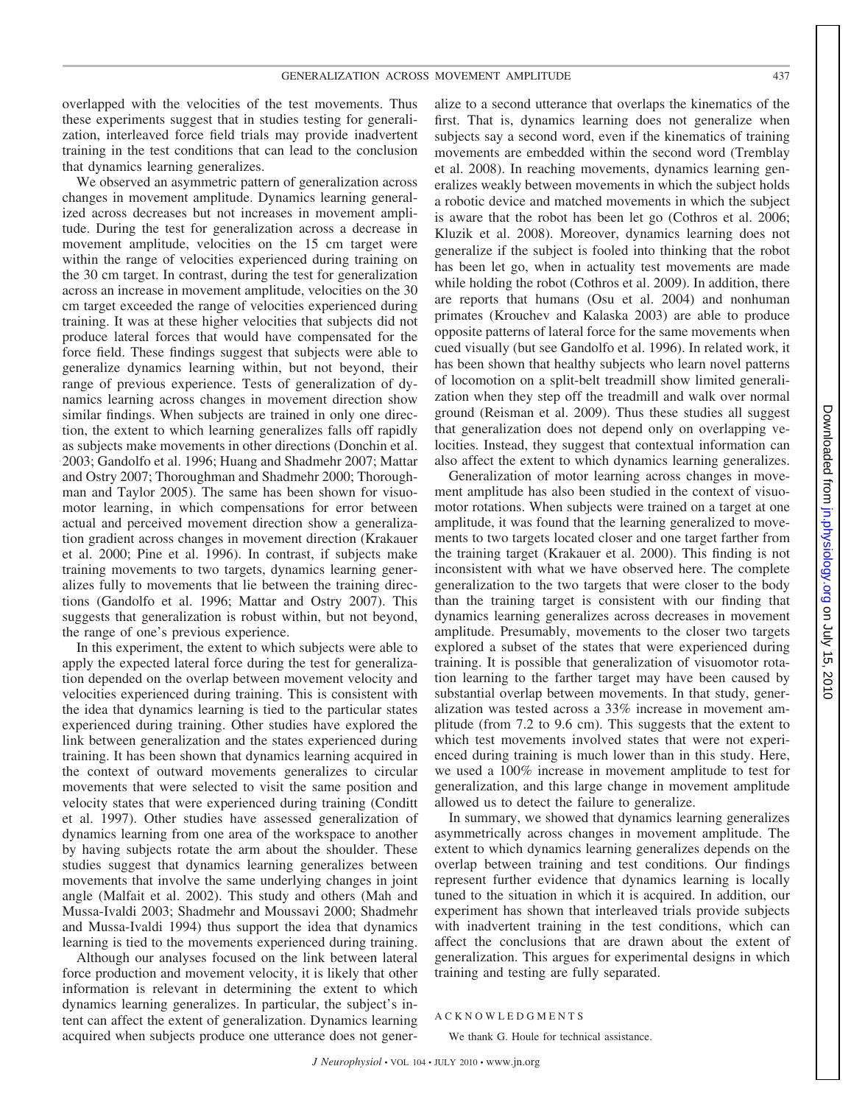GENERALIZATION ACROSS MOVEMENT AMPLITUDE 437

overlapped with the velocities of the test movements. Thus these experiments suggest that in studies testing for generalization, interleaved force field trials may provide inadvertent training in the test conditions that can lead to the conclusion that dynamics learning generalizes.

We observed an asymmetric pattern of generalization across changes in movement amplitude. Dynamics learning generalized across decreases but not increases in movement amplitude. During the test for generalization across a decrease in movement amplitude, velocities on the 15 cm target were within the range of velocities experienced during training on the 30 cm target. In contrast, during the test for generalization across an increase in movement amplitude, velocities on the 30 cm target exceeded the range of velocities experienced during training. It was at these higher velocities that subjects did not produce lateral forces that would have compensated for the force field. These findings suggest that subjects were able to generalize dynamics learning within, but not beyond, their range of previous experience. Tests of generalization of dynamics learning across changes in movement direction show similar findings. When subjects are trained in only one direction, the extent to which learning generalizes falls off rapidly as subjects make movements in other directions (Donchin et al. 2003; Gandolfo et al. 1996; Huang and Shadmehr 2007; Mattar and Ostry 2007; Thoroughman and Shadmehr 2000; Thoroughman and Taylor 2005). The same has been shown for visuomotor learning, in which compensations for error between actual and perceived movement direction show a generalization gradient across changes in movement direction (Krakauer et al. 2000; Pine et al. 1996). In contrast, if subjects make training movements to two targets, dynamics learning generalizes fully to movements that lie between the training directions (Gandolfo et al. 1996; Mattar and Ostry 2007). This suggests that generalization is robust within, but not beyond, the range of one's previous experience.

In this experiment, the extent to which subjects were able to apply the expected lateral force during the test for generalization depended on the overlap between movement velocity and velocities experienced during training. This is consistent with the idea that dynamics learning is tied to the particular states experienced during training. Other studies have explored the link between generalization and the states experienced during training. It has been shown that dynamics learning acquired in the context of outward movements generalizes to circular movements that were selected to visit the same position and velocity states that were experienced during training (Conditt et al. 1997). Other studies have assessed generalization of dynamics learning from one area of the workspace to another by having subjects rotate the arm about the shoulder. These studies suggest that dynamics learning generalizes between movements that involve the same underlying changes in joint angle (Malfait et al. 2002). This study and others (Mah and Mussa-Ivaldi 2003; Shadmehr and Moussavi 2000; Shadmehr and Mussa-Ivaldi 1994) thus support the idea that dynamics learning is tied to the movements experienced during training.

Although our analyses focused on the link between lateral force production and movement velocity, it is likely that other information is relevant in determining the extent to which dynamics learning generalizes. In particular, the subject's intent can affect the extent of generalization. Dynamics learning acquired when subjects produce one utterance does not generalize to a second utterance that overlaps the kinematics of the first. That is, dynamics learning does not generalize when subjects say a second word, even if the kinematics of training movements are embedded within the second word (Tremblay et al. 2008). In reaching movements, dynamics learning generalizes weakly between movements in which the subject holds a robotic device and matched movements in which the subject is aware that the robot has been let go (Cothros et al. 2006; Kluzik et al. 2008). Moreover, dynamics learning does not generalize if the subject is fooled into thinking that the robot has been let go, when in actuality test movements are made while holding the robot (Cothros et al. 2009). In addition, there are reports that humans (Osu et al. 2004) and nonhuman primates (Krouchev and Kalaska 2003) are able to produce opposite patterns of lateral force for the same movements when cued visually (but see Gandolfo et al. 1996). In related work, it has been shown that healthy subjects who learn novel patterns of locomotion on a split-belt treadmill show limited generalization when they step off the treadmill and walk over normal ground (Reisman et al. 2009). Thus these studies all suggest that generalization does not depend only on overlapping velocities. Instead, they suggest that contextual information can also affect the extent to which dynamics learning generalizes.

Generalization of motor learning across changes in movement amplitude has also been studied in the context of visuomotor rotations. When subjects were trained on a target at one amplitude, it was found that the learning generalized to movements to two targets located closer and one target farther from the training target (Krakauer et al. 2000). This finding is not inconsistent with what we have observed here. The complete generalization to the two targets that were closer to the body than the training target is consistent with our finding that dynamics learning generalizes across decreases in movement amplitude. Presumably, movements to the closer two targets explored a subset of the states that were experienced during training. It is possible that generalization of visuomotor rotation learning to the farther target may have been caused by substantial overlap between movements. In that study, generalization was tested across a 33% increase in movement amplitude (from 7.2 to 9.6 cm). This suggests that the extent to which test movements involved states that were not experienced during training is much lower than in this study. Here, we used a 100% increase in movement amplitude to test for generalization, and this large change in movement amplitude allowed us to detect the failure to generalize.

In summary, we showed that dynamics learning generalizes asymmetrically across changes in movement amplitude. The extent to which dynamics learning generalizes depends on the overlap between training and test conditions. Our findings represent further evidence that dynamics learning is locally tuned to the situation in which it is acquired. In addition, our experiment has shown that interleaved trials provide subjects with inadvertent training in the test conditions, which can affect the conclusions that are drawn about the extent of generalization. This argues for experimental designs in which training and testing are fully separated.

#### ACKNOWLEDGMENTS

We thank G. Houle for technical assistance.